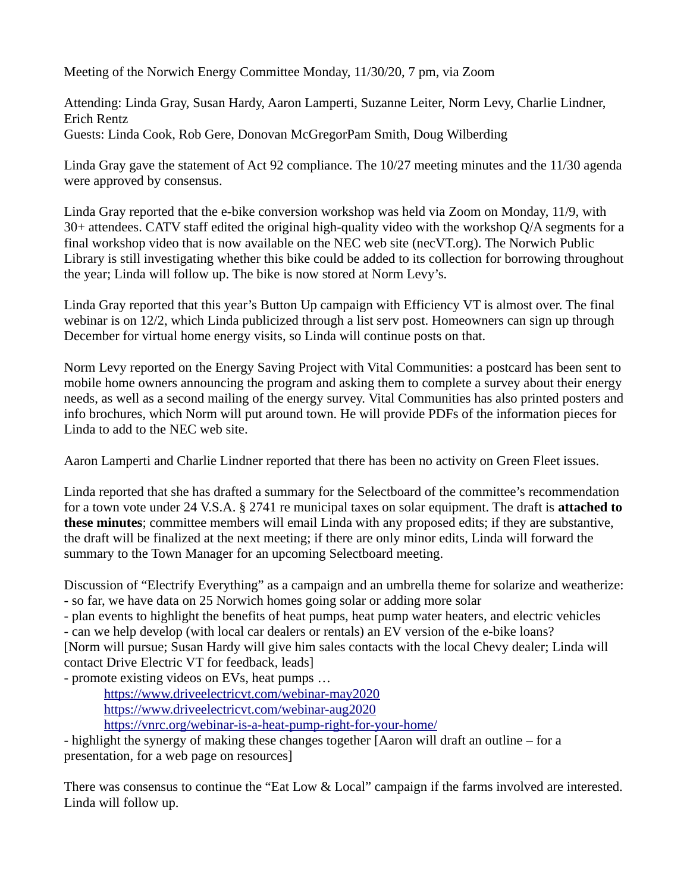Meeting of the Norwich Energy Committee Monday, 11/30/20, 7 pm, via Zoom

Attending: Linda Gray, Susan Hardy, Aaron Lamperti, Suzanne Leiter, Norm Levy, Charlie Lindner, Erich Rentz Guests: Linda Cook, Rob Gere, Donovan McGregorPam Smith, Doug Wilberding

Linda Gray gave the statement of Act 92 compliance. The 10/27 meeting minutes and the 11/30 agenda were approved by consensus.

Linda Gray reported that the e-bike conversion workshop was held via Zoom on Monday, 11/9, with 30+ attendees. CATV staff edited the original high-quality video with the workshop Q/A segments for a final workshop video that is now available on the NEC web site (necVT.org). The Norwich Public Library is still investigating whether this bike could be added to its collection for borrowing throughout the year; Linda will follow up. The bike is now stored at Norm Levy's.

Linda Gray reported that this year's Button Up campaign with Efficiency VT is almost over. The final webinar is on 12/2, which Linda publicized through a list serv post. Homeowners can sign up through December for virtual home energy visits, so Linda will continue posts on that.

Norm Levy reported on the Energy Saving Project with Vital Communities: a postcard has been sent to mobile home owners announcing the program and asking them to complete a survey about their energy needs, as well as a second mailing of the energy survey. Vital Communities has also printed posters and info brochures, which Norm will put around town. He will provide PDFs of the information pieces for Linda to add to the NEC web site.

Aaron Lamperti and Charlie Lindner reported that there has been no activity on Green Fleet issues.

Linda reported that she has drafted a summary for the Selectboard of the committee's recommendation for a town vote under 24 V.S.A. § 2741 re municipal taxes on solar equipment. The draft is **attached to these minutes**; committee members will email Linda with any proposed edits; if they are substantive, the draft will be finalized at the next meeting; if there are only minor edits, Linda will forward the summary to the Town Manager for an upcoming Selectboard meeting.

Discussion of "Electrify Everything" as a campaign and an umbrella theme for solarize and weatherize: - so far, we have data on 25 Norwich homes going solar or adding more solar

- plan events to highlight the benefits of heat pumps, heat pump water heaters, and electric vehicles - can we help develop (with local car dealers or rentals) an EV version of the e-bike loans? [Norm will pursue; Susan Hardy will give him sales contacts with the local Chevy dealer; Linda will contact Drive Electric VT for feedback, leads]

- promote existing videos on EVs, heat pumps …

<https://www.driveelectricvt.com/webinar-may2020> <https://www.driveelectricvt.com/webinar-aug2020> <https://vnrc.org/webinar-is-a-heat-pump-right-for-your-home/>

- highlight the synergy of making these changes together [Aaron will draft an outline – for a presentation, for a web page on resources]

There was consensus to continue the "Eat Low & Local" campaign if the farms involved are interested. Linda will follow up.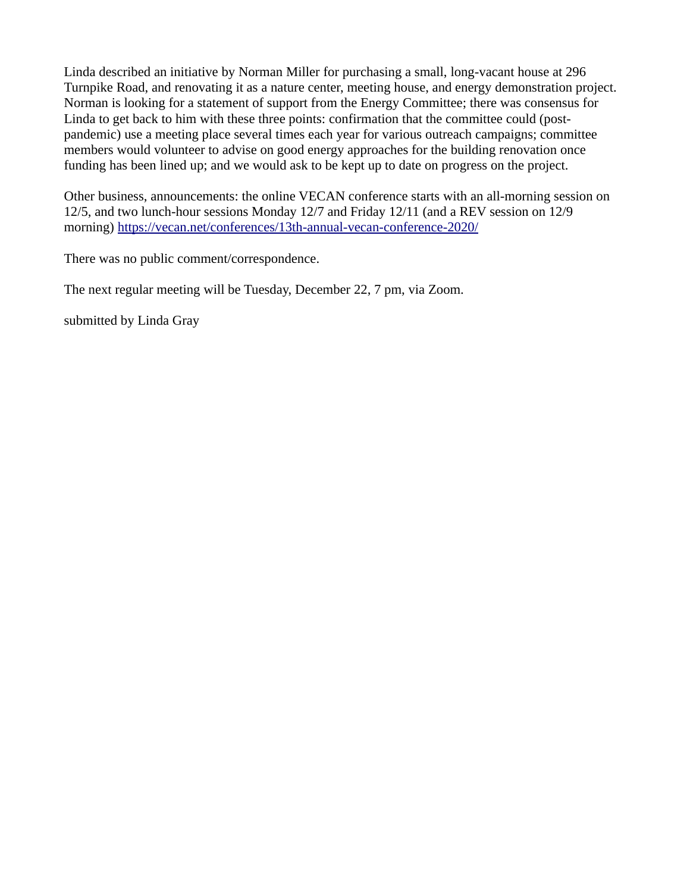Linda described an initiative by Norman Miller for purchasing a small, long-vacant house at 296 Turnpike Road, and renovating it as a nature center, meeting house, and energy demonstration project. Norman is looking for a statement of support from the Energy Committee; there was consensus for Linda to get back to him with these three points: confirmation that the committee could (postpandemic) use a meeting place several times each year for various outreach campaigns; committee members would volunteer to advise on good energy approaches for the building renovation once funding has been lined up; and we would ask to be kept up to date on progress on the project.

Other business, announcements: the online VECAN conference starts with an all-morning session on 12/5, and two lunch-hour sessions Monday 12/7 and Friday 12/11 (and a REV session on 12/9 morning)<https://vecan.net/conferences/13th-annual-vecan-conference-2020/>

There was no public comment/correspondence.

The next regular meeting will be Tuesday, December 22, 7 pm, via Zoom.

submitted by Linda Gray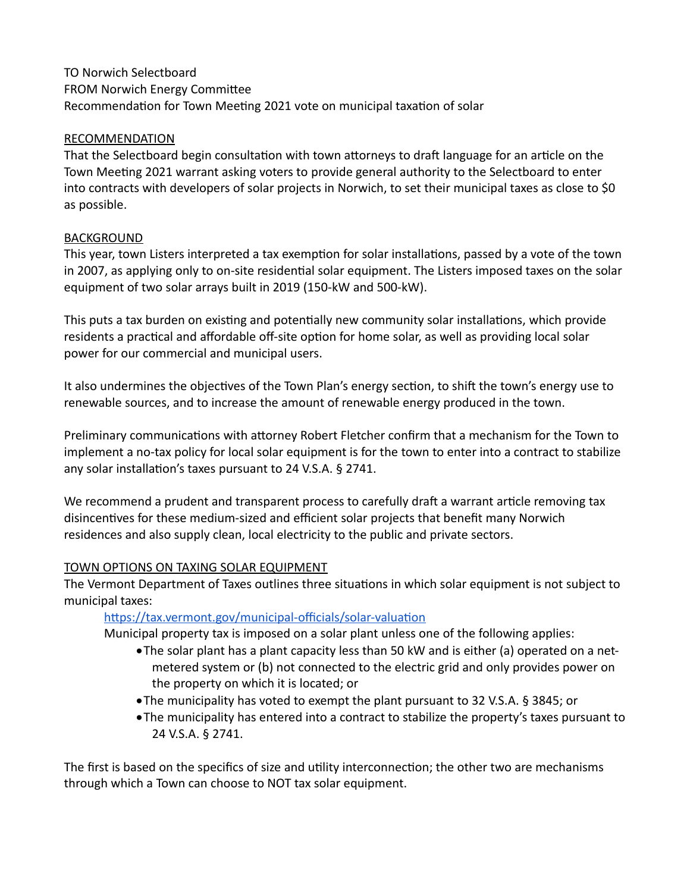# TO Norwich Selectboard FROM Norwich Energy Committee Recommendation for Town Meeting 2021 vote on municipal taxation of solar

#### RECOMMENDATION

That the Selectboard begin consultation with town attorneys to draft language for an article on the Town Meeting 2021 warrant asking voters to provide general authority to the Selectboard to enter into contracts with developers of solar projects in Norwich, to set their municipal taxes as close to \$0 as possible.

#### BACKGROUND

This year, town Listers interpreted a tax exemption for solar installations, passed by a vote of the town in 2007, as applying only to on-site residential solar equipment. The Listers imposed taxes on the solar equipment of two solar arrays built in 2019 (150-kW and 500-kW).

This puts a tax burden on existing and potentially new community solar installations, which provide residents a practical and affordable off-site option for home solar, as well as providing local solar power for our commercial and municipal users.

It also undermines the objectives of the Town Plan's energy section, to shift the town's energy use to renewable sources, and to increase the amount of renewable energy produced in the town.

Preliminary communications with attorney Robert Fletcher confirm that a mechanism for the Town to implement a no-tax policy for local solar equipment is for the town to enter into a contract to stabilize any solar installation's taxes pursuant to 24 V.S.A. § 2741.

We recommend a prudent and transparent process to carefully draft a warrant article removing tax disincentives for these medium-sized and efficient solar projects that benefit many Norwich residences and also supply clean, local electricity to the public and private sectors.

## TOWN OPTIONS ON TAXING SOLAR EQUIPMENT

The Vermont Department of Taxes outlines three situations in which solar equipment is not subject to municipal taxes:

## <https://tax.vermont.gov/municipal-officials/solar-valuation>

Municipal property tax is imposed on a solar plant unless one of the following applies:

- The solar plant has a plant capacity less than 50 kW and is either (a) operated on a netmetered system or (b) not connected to the electric grid and only provides power on the property on which it is located; or
- The municipality has voted to exempt the plant pursuant to 32 V.S.A. § 3845; or
- The municipality has entered into a contract to stabilize the property's taxes pursuant to 24 V.S.A. § 2741.

The first is based on the specifics of size and utility interconnection; the other two are mechanisms through which a Town can choose to NOT tax solar equipment.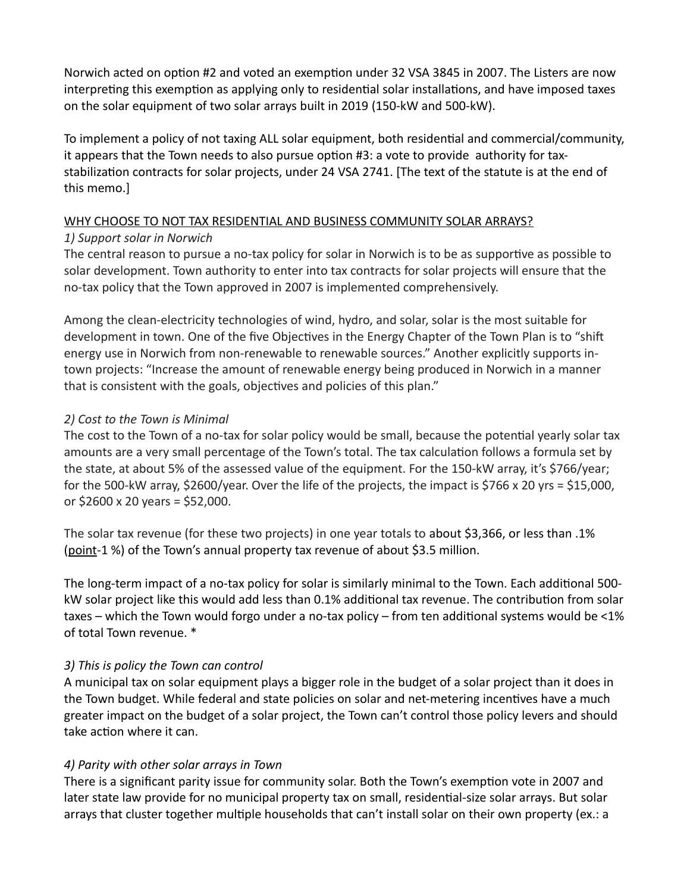Norwich acted on option #2 and voted an exemption under 32 VSA 3845 in 2007. The Listers are now interpreting this exemption as applying only to residential solar installations, and have imposed taxes on the solar equipment of two solar arrays built in 2019 (150-kW and 500-kW).

To implement a policy of not taxing ALL solar equipment, both residential and commercial/community, it appears that the Town needs to also pursue option #3: a vote to provide authority for taxstabilization contracts for solar projects, under 24 VSA 2741. [The text of the statute is at the end of this memo.]

#### WHY CHOOSE TO NOT TAX RESIDENTIAL AND BUSINESS COMMUNITY SOLAR ARRAYS?

## *1) Support solar in Norwich*

The central reason to pursue a no-tax policy for solar in Norwich is to be as supportive as possible to solar development. Town authority to enter into tax contracts for solar projects will ensure that the no-tax policy that the Town approved in 2007 is implemented comprehensively.

Among the clean-electricity technologies of wind, hydro, and solar, solar is the most suitable for development in town. One of the five Objectives in the Energy Chapter of the Town Plan is to "shift energy use in Norwich from non-renewable to renewable sources." Another explicitly supports intown projects: "Increase the amount of renewable energy being produced in Norwich in a manner that is consistent with the goals, objectives and policies of this plan."

# *2) Cost to the Town is Minimal*

The cost to the Town of a no-tax for solar policy would be small, because the potential yearly solar tax amounts are a very small percentage of the Town's total. The tax calculation follows a formula set by the state, at about 5% of the assessed value of the equipment. For the 150-kW array, it's \$766/year; for the 500-kW array, \$2600/year. Over the life of the projects, the impact is \$766 x 20 yrs = \$15,000, or \$2600 x 20 years = \$52,000.

The solar tax revenue (for these two projects) in one year totals to about \$3,366, or less than .1% (point-1 %) of the Town's annual property tax revenue of about \$3.5 million.

The long-term impact of a no-tax policy for solar is similarly minimal to the Town. Each additional 500 kW solar project like this would add less than 0.1% additional tax revenue. The contribution from solar taxes – which the Town would forgo under a no-tax policy – from ten additional systems would be <1% of total Town revenue. \*

## *3) This is policy the Town can control*

A municipal tax on solar equipment plays a bigger role in the budget of a solar project than it does in the Town budget. While federal and state policies on solar and net-metering incentives have a much greater impact on the budget of a solar project, the Town can't control those policy levers and should take action where it can.

## *4) Parity with other solar arrays in Town*

There is a significant parity issue for community solar. Both the Town's exemption vote in 2007 and later state law provide for no municipal property tax on small, residential-size solar arrays. But solar arrays that cluster together multiple households that can't install solar on their own property (ex.: a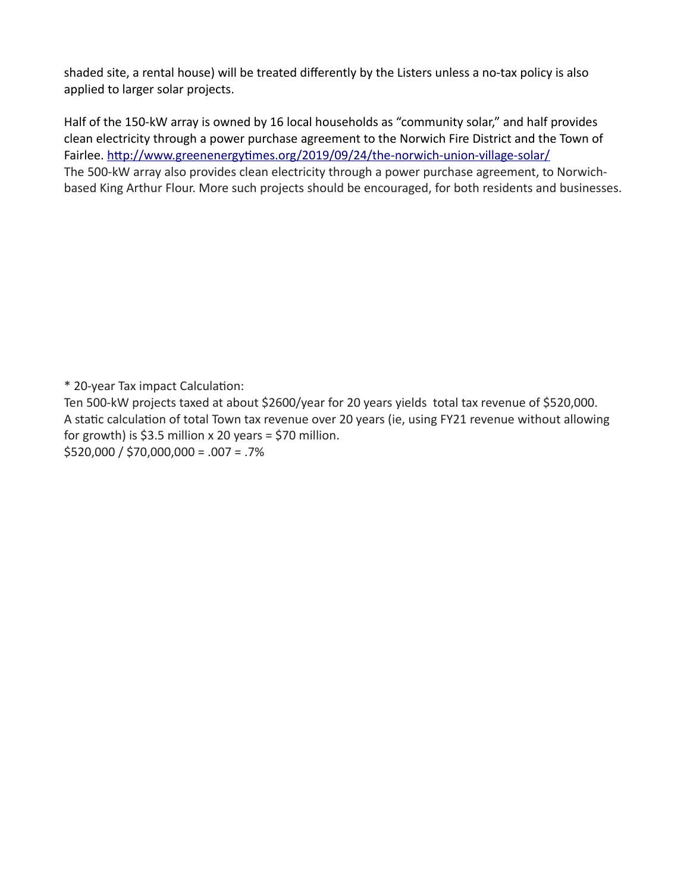shaded site, a rental house) will be treated differently by the Listers unless a no-tax policy is also applied to larger solar projects.

Half of the 150-kW array is owned by 16 local households as "community solar," and half provides clean electricity through a power purchase agreement to the Norwich Fire District and the Town of Fairlee.<http://www.greenenergytimes.org/2019/09/24/the-norwich-union-village-solar/> The 500-kW array also provides clean electricity through a power purchase agreement, to Norwichbased King Arthur Flour. More such projects should be encouraged, for both residents and businesses.

\* 20-year Tax impact Calculation:

Ten 500-kW projects taxed at about \$2600/year for 20 years yields total tax revenue of \$520,000. A static calculation of total Town tax revenue over 20 years (ie, using FY21 revenue without allowing for growth) is  $$3.5$  million x 20 years = \$70 million. \$520,000 / \$70,000,000 = .007 = .7%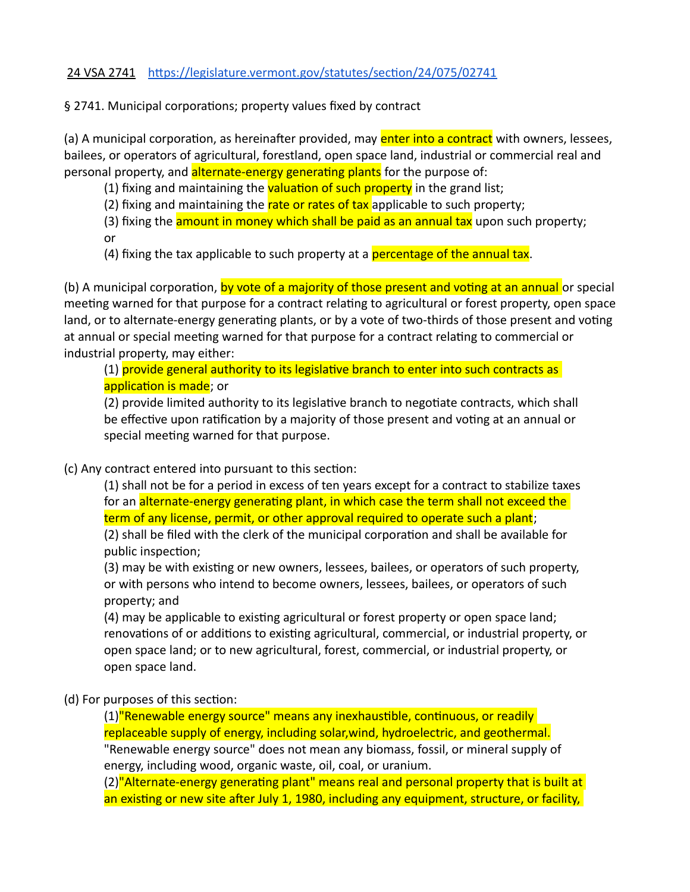#### 24 VSA 2741 <https://legislature.vermont.gov/statutes/section/24/075/02741>

§ 2741. Municipal corporations; property values fixed by contract

(a) A municipal corporation, as hereinafter provided, may **enter into a contract** with owners, lessees, bailees, or operators of agricultural, forestland, open space land, industrial or commercial real and personal property, and alternate-energy generating plants for the purpose of:

(1) fixing and maintaining the **valuation of such property** in the grand list;

(2) fixing and maintaining the rate or rates of tax applicable to such property;

(3) fixing the **amount in money which shall be paid as an annual tax** upon such property; or

(4) fixing the tax applicable to such property at a **percentage of the annual tax**.

(b) A municipal corporation, by vote of a majority of those present and voting at an annual or special meeting warned for that purpose for a contract relating to agricultural or forest property, open space land, or to alternate-energy generating plants, or by a vote of two-thirds of those present and voting at annual or special meeting warned for that purpose for a contract relating to commercial or industrial property, may either:

(1) provide general authority to its legislative branch to enter into such contracts as application is made; or

(2) provide limited authority to its legislative branch to negotiate contracts, which shall be effective upon ratification by a majority of those present and voting at an annual or special meeting warned for that purpose.

(c) Any contract entered into pursuant to this section:

(1) shall not be for a period in excess of ten years except for a contract to stabilize taxes for an alternate-energy generating plant, in which case the term shall not exceed the term of any license, permit, or other approval required to operate such a plant; (2) shall be filed with the clerk of the municipal corporation and shall be available for public inspection;

(3) may be with existing or new owners, lessees, bailees, or operators of such property, or with persons who intend to become owners, lessees, bailees, or operators of such property; and

(4) may be applicable to existing agricultural or forest property or open space land; renovations of or additions to existing agricultural, commercial, or industrial property, or open space land; or to new agricultural, forest, commercial, or industrial property, or open space land.

(d) For purposes of this section:

(1)"Renewable energy source" means any inexhaustible, continuous, or readily replaceable supply of energy, including solar,wind, hydroelectric, and geothermal. "Renewable energy source" does not mean any biomass, fossil, or mineral supply of energy, including wood, organic waste, oil, coal, or uranium.

(2)"Alternate-energy generating plant" means real and personal property that is built at an existing or new site after July 1, 1980, including any equipment, structure, or facility,